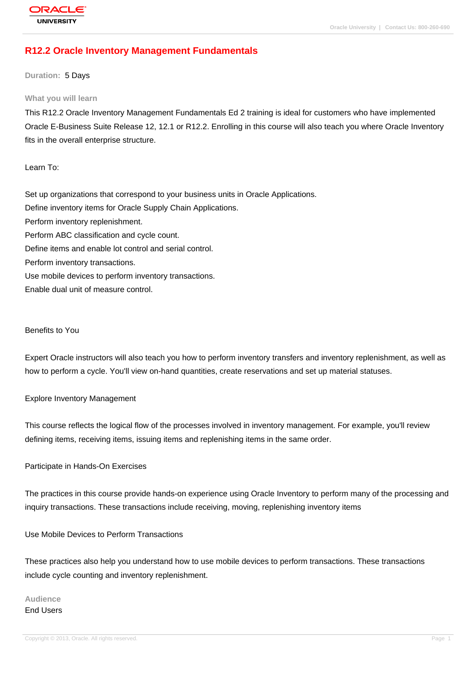# **[R12.2 Oracle In](http://education.oracle.com/pls/web_prod-plq-dad/db_pages.getpage?page_id=3)ventory Management Fundamentals**

**Duration:** 5 Days

#### **What you will learn**

This R12.2 Oracle Inventory Management Fundamentals Ed 2 training is ideal for customers who have implemented Oracle E-Business Suite Release 12, 12.1 or R12.2. Enrolling in this course will also teach you where Oracle Inventory fits in the overall enterprise structure.

### Learn To:

Set up organizations that correspond to your business units in Oracle Applications. Define inventory items for Oracle Supply Chain Applications. Perform inventory replenishment. Perform ABC classification and cycle count. Define items and enable lot control and serial control. Perform inventory transactions. Use mobile devices to perform inventory transactions. Enable dual unit of measure control.

### Benefits to You

Expert Oracle instructors will also teach you how to perform inventory transfers and inventory replenishment, as well as how to perform a cycle. You'll view on-hand quantities, create reservations and set up material statuses.

#### Explore Inventory Management

This course reflects the logical flow of the processes involved in inventory management. For example, you'll review defining items, receiving items, issuing items and replenishing items in the same order.

#### Participate in Hands-On Exercises

The practices in this course provide hands-on experience using Oracle Inventory to perform many of the processing and inquiry transactions. These transactions include receiving, moving, replenishing inventory items

Use Mobile Devices to Perform Transactions

These practices also help you understand how to use mobile devices to perform transactions. These transactions include cycle counting and inventory replenishment.

# **Audience** End Users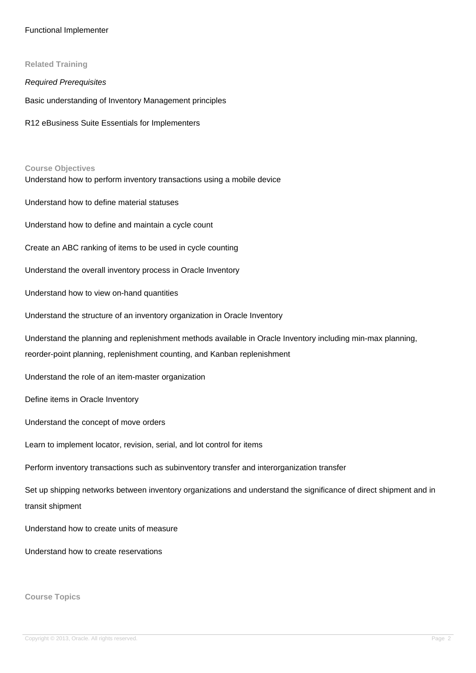### Functional Implementer

**Related Training** Required Prerequisites Basic understanding of Inventory Management principles R12 eBusiness Suite Essentials for Implementers **Course Objectives** Understand how to perform inventory transactions using a mobile device Understand how to define material statuses Understand how to define and maintain a cycle count Create an ABC ranking of items to be used in cycle counting Understand the overall inventory process in Oracle Inventory Understand how to view on-hand quantities Understand the structure of an inventory organization in Oracle Inventory Understand the planning and replenishment methods available in Oracle Inventory including min-max planning, reorder-point planning, replenishment counting, and Kanban replenishment Understand the role of an item-master organization Define items in Oracle Inventory Understand the concept of move orders Learn to implement locator, revision, serial, and lot control for items Perform inventory transactions such as subinventory transfer and interorganization transfer Set up shipping networks between inventory organizations and understand the significance of direct shipment and in transit shipment Understand how to create units of measure Understand how to create reservations

**Course Topics**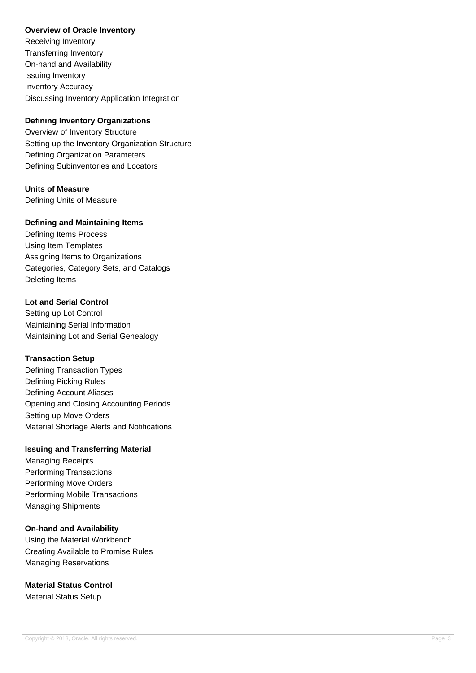### **Overview of Oracle Inventory**

Receiving Inventory Transferring Inventory On-hand and Availability Issuing Inventory Inventory Accuracy Discussing Inventory Application Integration

## **Defining Inventory Organizations**

Overview of Inventory Structure Setting up the Inventory Organization Structure Defining Organization Parameters Defining Subinventories and Locators

# **Units of Measure**

Defining Units of Measure

## **Defining and Maintaining Items**

Defining Items Process Using Item Templates Assigning Items to Organizations Categories, Category Sets, and Catalogs Deleting Items

## **Lot and Serial Control**

Setting up Lot Control Maintaining Serial Information Maintaining Lot and Serial Genealogy

## **Transaction Setup**

Defining Transaction Types Defining Picking Rules Defining Account Aliases Opening and Closing Accounting Periods Setting up Move Orders Material Shortage Alerts and Notifications

## **Issuing and Transferring Material**

Managing Receipts Performing Transactions Performing Move Orders Performing Mobile Transactions Managing Shipments

## **On-hand and Availability**

Using the Material Workbench Creating Available to Promise Rules Managing Reservations

**Material Status Control** Material Status Setup